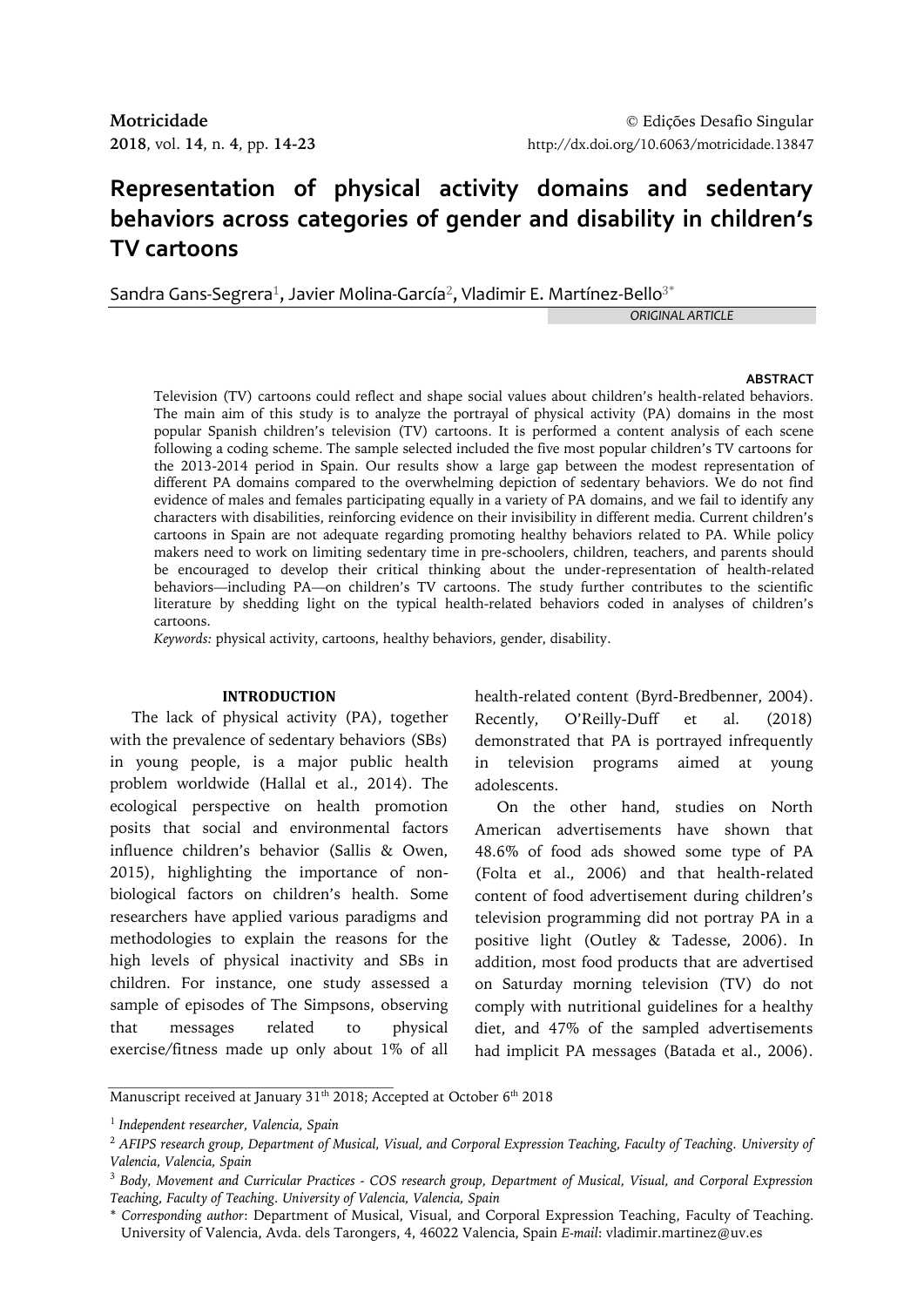# **Representation of physical activity domains and sedentary behaviors across categories of gender and disability in children's TV cartoons**

Sandra Gans-Segrera<sup>1</sup>, Javier Molina-García<sup>2</sup>, Vladimir E. Martínez-Bello<sup>3\*</sup>

*ORIGINAL ARTICLE*

## **ABSTRACT**

Television (TV) cartoons could reflect and shape social values about children's health-related behaviors. The main aim of this study is to analyze the portrayal of physical activity (PA) domains in the most popular Spanish children's television (TV) cartoons. It is performed a content analysis of each scene following a coding scheme. The sample selected included the five most popular children's TV cartoons for the 2013-2014 period in Spain. Our results show a large gap between the modest representation of different PA domains compared to the overwhelming depiction of sedentary behaviors. We do not find evidence of males and females participating equally in a variety of PA domains, and we fail to identify any characters with disabilities, reinforcing evidence on their invisibility in different media. Current children's cartoons in Spain are not adequate regarding promoting healthy behaviors related to PA. While policy makers need to work on limiting sedentary time in pre-schoolers, children, teachers, and parents should be encouraged to develop their critical thinking about the under-representation of health-related behaviors—including PA—on children's TV cartoons. The study further contributes to the scientific literature by shedding light on the typical health-related behaviors coded in analyses of children's cartoons.

*Keywords:* physical activity, cartoons, healthy behaviors, gender, disability.

## **INTRODUCTION**

The lack of physical activity (PA), together with the prevalence of sedentary behaviors (SBs) in young people, is a major public health problem worldwide (Hallal et al., 2014). The ecological perspective on health promotion posits that social and environmental factors influence children's behavior (Sallis & Owen, 2015), highlighting the importance of nonbiological factors on children's health. Some researchers have applied various paradigms and methodologies to explain the reasons for the high levels of physical inactivity and SBs in children. For instance, one study assessed a sample of episodes of The Simpsons, observing that messages related to physical exercise/fitness made up only about 1% of all

health-related content (Byrd-Bredbenner, 2004). Recently, O'Reilly-Duff et al. (2018) demonstrated that PA is portrayed infrequently in television programs aimed at young adolescents.

On the other hand, studies on North American advertisements have shown that 48.6% of food ads showed some type of PA (Folta et al., 2006) and that health-related content of food advertisement during children's television programming did not portray PA in a positive light (Outley & Tadesse, 2006). In addition, most food products that are advertised on Saturday morning television (TV) do not comply with nutritional guidelines for a healthy diet, and 47% of the sampled advertisements had implicit PA messages (Batada et al., 2006).

Manuscript received at January 3 $1^{\rm th}$  2018; Accepted at October 6 $^{\rm th}$  2018

<sup>1</sup> *Independent researcher, Valencia, Spain*

<sup>2</sup> *AFIPS research group, Department of Musical, Visual, and Corporal Expression Teaching, Faculty of Teaching. University of Valencia, Valencia, Spain*

<sup>3</sup> *Body, Movement and Curricular Practices - COS research group, Department of Musical, Visual, and Corporal Expression Teaching, Faculty of Teaching. University of Valencia, Valencia, Spain*

<sup>\*</sup> *Corresponding author*: Department of Musical, Visual, and Corporal Expression Teaching, Faculty of Teaching. University of Valencia, Avda. dels Tarongers, 4, 46022 Valencia, Spain *E-mail*: vladimir.martinez@uv.es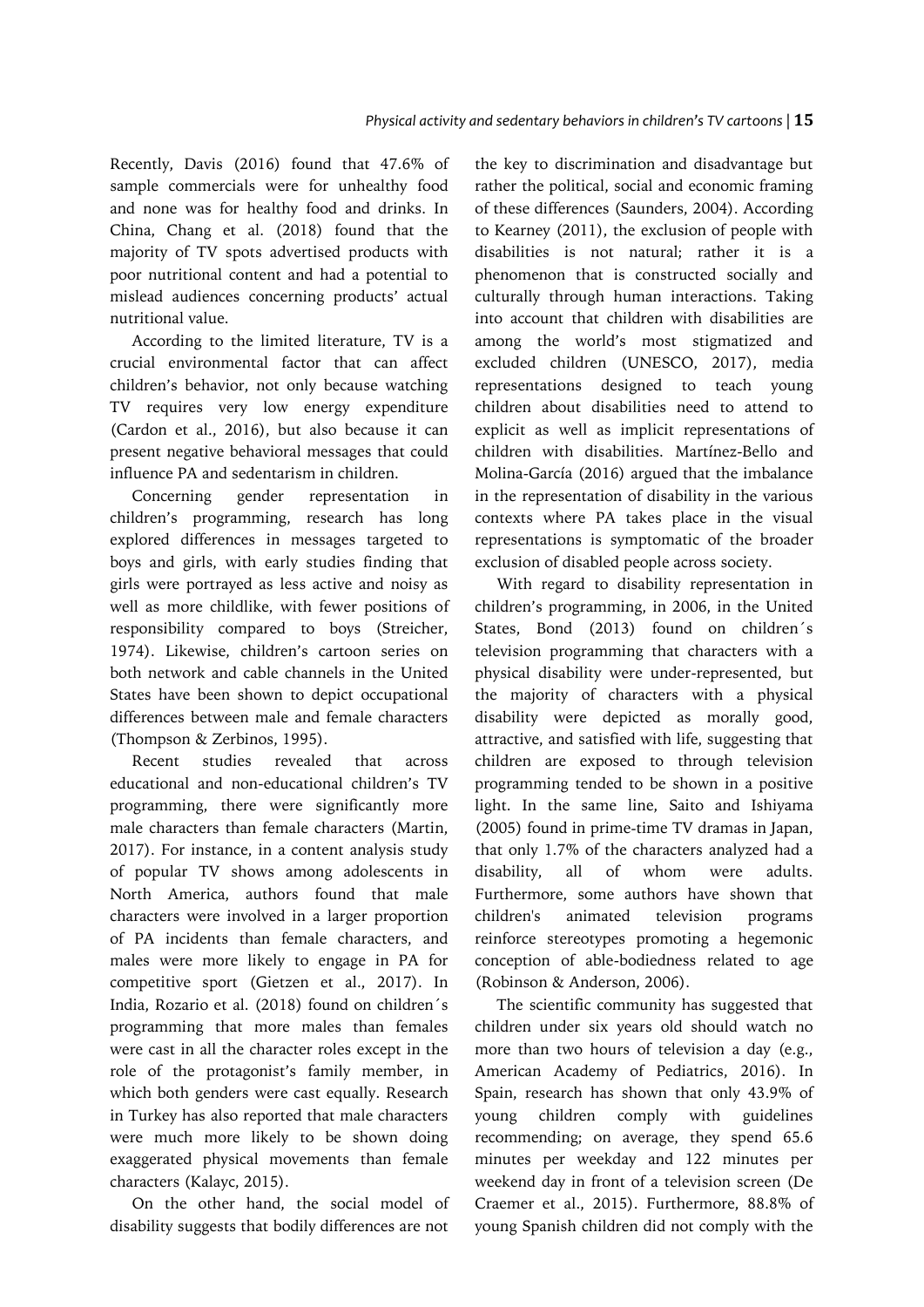Recently, Davis (2016) found that 47.6% of sample commercials were for unhealthy food and none was for healthy food and drinks. In China, Chang et al. (2018) found that the majority of TV spots advertised products with poor nutritional content and had a potential to mislead audiences concerning products' actual nutritional value.

According to the limited literature, TV is a crucial environmental factor that can affect children's behavior, not only because watching TV requires very low energy expenditure (Cardon et al., 2016), but also because it can present negative behavioral messages that could influence PA and sedentarism in children.

Concerning gender representation in children's programming, research has long explored differences in messages targeted to boys and girls, with early studies finding that girls were portrayed as less active and noisy as well as more childlike, with fewer positions of responsibility compared to boys (Streicher, 1974). Likewise, children's cartoon series on both network and cable channels in the United States have been shown to depict occupational differences between male and female characters (Thompson & Zerbinos, 1995).

Recent studies revealed that across educational and non-educational children's TV programming, there were significantly more male characters than female characters (Martin, 2017). For instance, in a content analysis study of popular TV shows among adolescents in North America, authors found that male characters were involved in a larger proportion of PA incidents than female characters, and males were more likely to engage in PA for competitive sport (Gietzen et al., 2017). In India, Rozario et al. (2018) found on children´s programming that more males than females were cast in all the character roles except in the role of the protagonist's family member, in which both genders were cast equally. Research in Turkey has also reported that male characters were much more likely to be shown doing exaggerated physical movements than female characters (Kalayc, 2015).

On the other hand, the social model of disability suggests that bodily differences are not

the key to discrimination and disadvantage but rather the political, social and economic framing of these differences (Saunders, 2004). According to Kearney (2011), the exclusion of people with disabilities is not natural; rather it is a phenomenon that is constructed socially and culturally through human interactions. Taking into account that children with disabilities are among the world's most stigmatized and excluded children (UNESCO, 2017), media representations designed to teach young children about disabilities need to attend to explicit as well as implicit representations of children with disabilities. Martínez-Bello and Molina-García (2016) argued that the imbalance in the representation of disability in the various contexts where PA takes place in the visual representations is symptomatic of the broader exclusion of disabled people across society.

With regard to disability representation in children's programming, in 2006, in the United States, Bond (2013) found on children´s television programming that characters with a physical disability were under-represented, but the majority of characters with a physical disability were depicted as morally good, attractive, and satisfied with life, suggesting that children are exposed to through television programming tended to be shown in a positive light. In the same line, Saito and Ishiyama (2005) found in prime‐time TV dramas in Japan, that only 1.7% of the characters analyzed had a disability, all of whom were adults. Furthermore, some authors have shown that children's animated television programs reinforce stereotypes promoting a hegemonic conception of able-bodiedness related to age (Robinson & Anderson, 2006).

The scientific community has suggested that children under six years old should watch no more than two hours of television a day (e.g., American Academy of Pediatrics, 2016). In Spain, research has shown that only 43.9% of young children comply with guidelines recommending; on average, they spend 65.6 minutes per weekday and 122 minutes per weekend day in front of a television screen (De Craemer et al., 2015). Furthermore, 88.8% of young Spanish children did not comply with the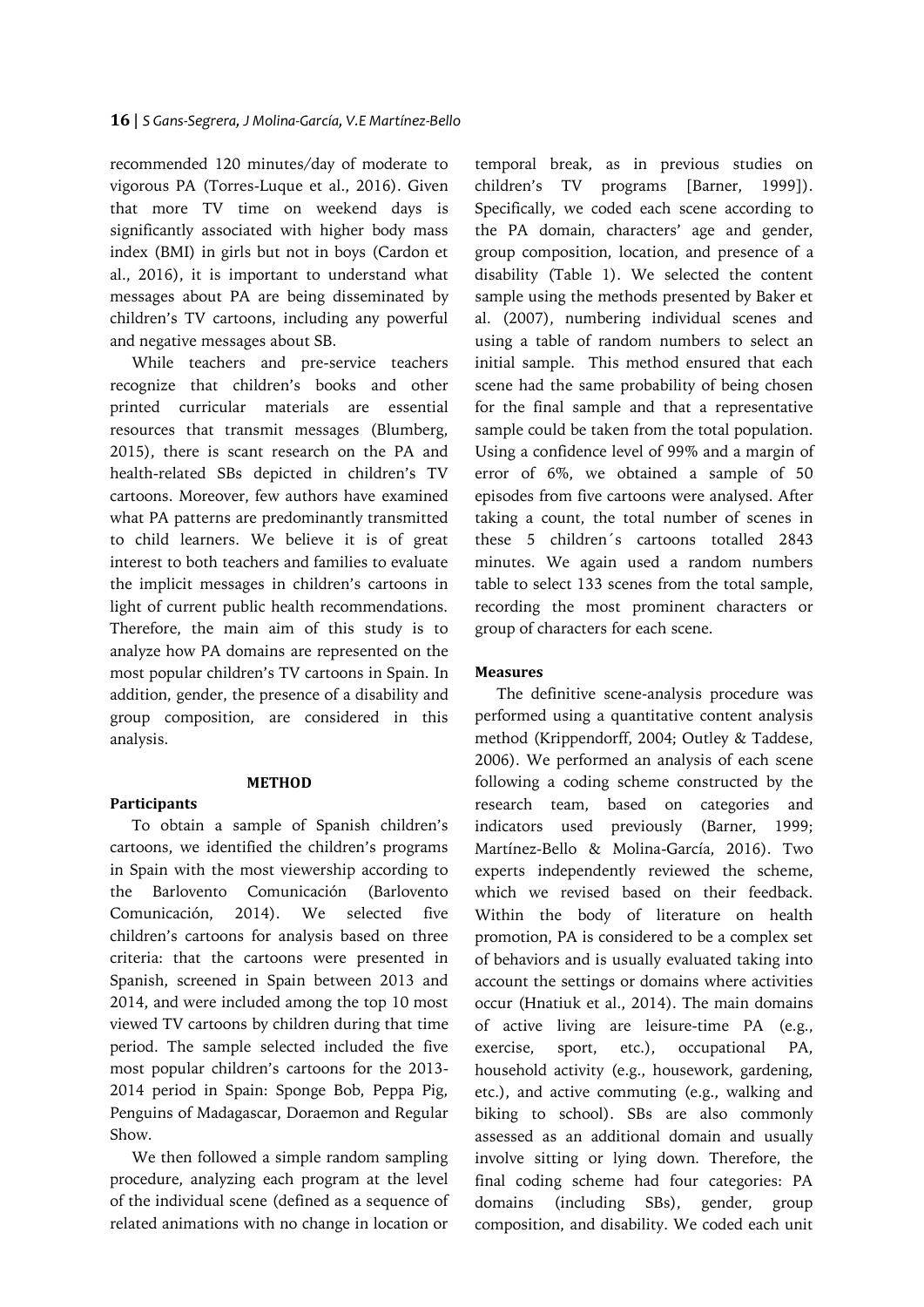recommended 120 minutes/day of moderate to vigorous PA (Torres-Luque et al., 2016). Given that more TV time on weekend days is significantly associated with higher body mass index (BMI) in girls but not in boys (Cardon et al., 2016), it is important to understand what messages about PA are being disseminated by children's TV cartoons, including any powerful and negative messages about SB.

While teachers and pre-service teachers recognize that children's books and other printed curricular materials are essential resources that transmit messages (Blumberg, 2015), there is scant research on the PA and health-related SBs depicted in children's TV cartoons. Moreover, few authors have examined what PA patterns are predominantly transmitted to child learners. We believe it is of great interest to both teachers and families to evaluate the implicit messages in children's cartoons in light of current public health recommendations. Therefore, the main aim of this study is to analyze how PA domains are represented on the most popular children's TV cartoons in Spain. In addition, gender, the presence of a disability and group composition, are considered in this analysis.

# **METHOD**

**Participants**

To obtain a sample of Spanish children's cartoons, we identified the children's programs in Spain with the most viewership according to the Barlovento Comunicación (Barlovento Comunicación, 2014). We selected five children's cartoons for analysis based on three criteria: that the cartoons were presented in Spanish, screened in Spain between 2013 and 2014, and were included among the top 10 most viewed TV cartoons by children during that time period. The sample selected included the five most popular children's cartoons for the 2013- 2014 period in Spain: Sponge Bob, Peppa Pig, Penguins of Madagascar, Doraemon and Regular Show.

We then followed a simple random sampling procedure, analyzing each program at the level of the individual scene (defined as a sequence of related animations with no change in location or

temporal break, as in previous studies on children's TV programs [Barner, 1999]). Specifically, we coded each scene according to the PA domain, characters' age and gender, group composition, location, and presence of a disability (Table 1). We selected the content sample using the methods presented by Baker et al. (2007), numbering individual scenes and using a table of random numbers to select an initial sample. This method ensured that each scene had the same probability of being chosen for the final sample and that a representative sample could be taken from the total population. Using a confidence level of 99% and a margin of error of 6%, we obtained a sample of 50 episodes from five cartoons were analysed. After taking a count, the total number of scenes in these 5 children´s cartoons totalled 2843 minutes. We again used a random numbers table to select 133 scenes from the total sample, recording the most prominent characters or group of characters for each scene.

# **Measures**

The definitive scene-analysis procedure was performed using a quantitative content analysis method (Krippendorff, 2004; Outley & Taddese, 2006). We performed an analysis of each scene following a coding scheme constructed by the research team, based on categories and indicators used previously (Barner, 1999; Martínez-Bello & Molina-García, 2016). Two experts independently reviewed the scheme, which we revised based on their feedback. Within the body of literature on health promotion, PA is considered to be a complex set of behaviors and is usually evaluated taking into account the settings or domains where activities occur (Hnatiuk et al., 2014). The main domains of active living are leisure-time PA (e.g., exercise, sport, etc.), occupational PA, household activity (e.g., housework, gardening, etc.), and active commuting (e.g., walking and biking to school). SBs are also commonly assessed as an additional domain and usually involve sitting or lying down. Therefore, the final coding scheme had four categories: PA domains (including SBs), gender, group composition, and disability. We coded each unit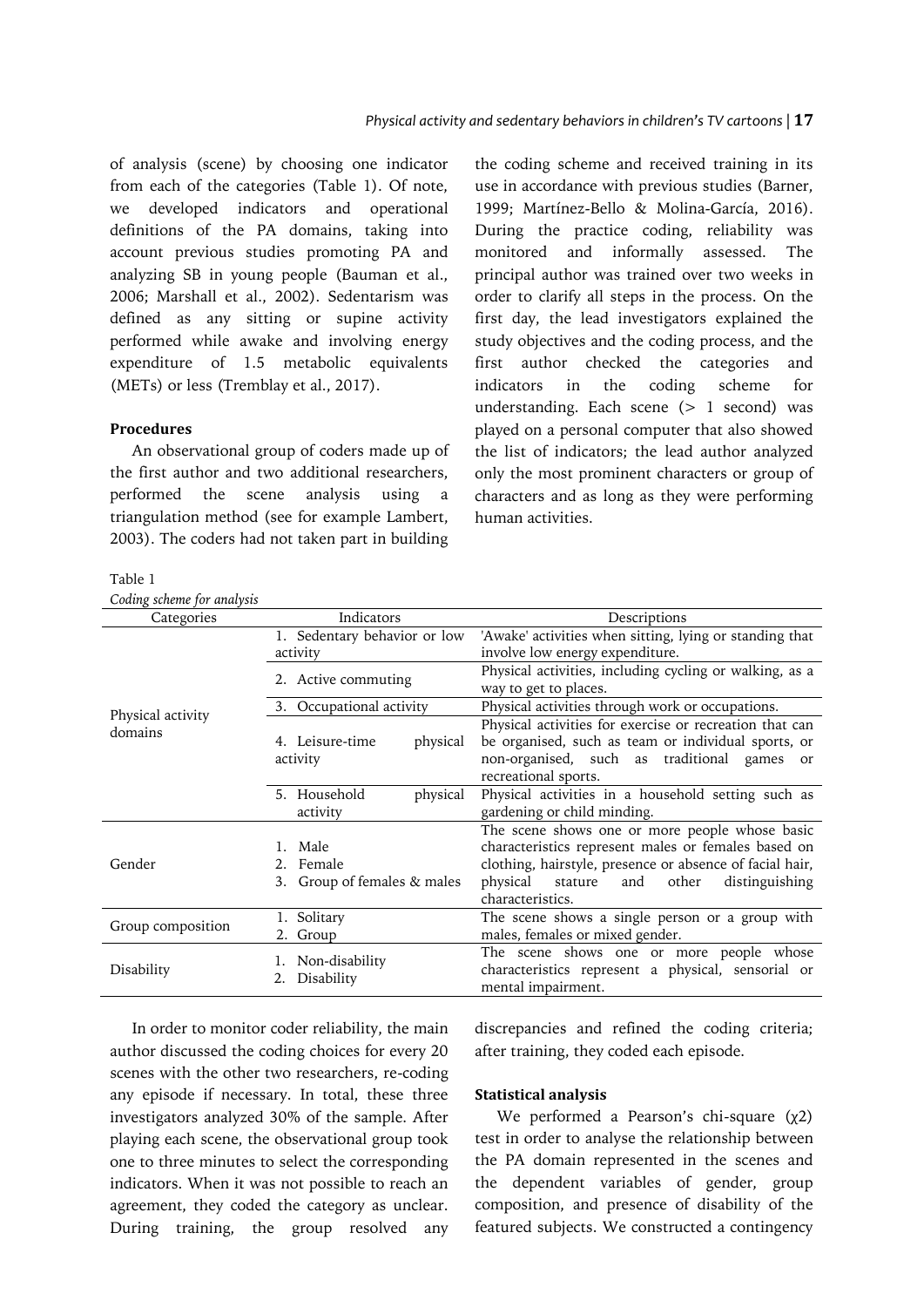of analysis (scene) by choosing one indicator from each of the categories (Table 1). Of note, we developed indicators and operational definitions of the PA domains, taking into account previous studies promoting PA and analyzing SB in young people (Bauman et al., 2006; Marshall et al., 2002). Sedentarism was defined as any sitting or supine activity performed while awake and involving energy expenditure of 1.5 metabolic equivalents (METs) or less (Tremblay et al., 2017).

# **Procedures**

An observational group of coders made up of the first author and two additional researchers, performed the scene analysis using a triangulation method (see for example Lambert, 2003). The coders had not taken part in building

the coding scheme and received training in its use in accordance with previous studies (Barner, 1999; Martínez-Bello & Molina-García, 2016). During the practice coding, reliability was monitored and informally assessed. The principal author was trained over two weeks in order to clarify all steps in the process. On the first day, the lead investigators explained the study objectives and the coding process, and the first author checked the categories and indicators in the coding scheme for understanding. Each scene  $(> 1$  second) was played on a personal computer that also showed the list of indicators; the lead author analyzed only the most prominent characters or group of characters and as long as they were performing human activities.

## Table 1

| Coding scheme for analysis   |                                                        |                                                                                                                                                                                                                                                |  |  |
|------------------------------|--------------------------------------------------------|------------------------------------------------------------------------------------------------------------------------------------------------------------------------------------------------------------------------------------------------|--|--|
| Categories                   | Indicators                                             | Descriptions                                                                                                                                                                                                                                   |  |  |
|                              | 1. Sedentary behavior or low<br>activity               | 'Awake' activities when sitting, lying or standing that<br>involve low energy expenditure.                                                                                                                                                     |  |  |
|                              | 2. Active commuting                                    | Physical activities, including cycling or walking, as a<br>way to get to places.                                                                                                                                                               |  |  |
|                              | 3. Occupational activity                               | Physical activities through work or occupations.                                                                                                                                                                                               |  |  |
| Physical activity<br>domains | 4. Leisure-time<br>physical<br>activity                | Physical activities for exercise or recreation that can<br>be organised, such as team or individual sports, or<br>non-organised, such as traditional games<br><sub>or</sub><br>recreational sports.                                            |  |  |
|                              | 5. Household<br>physical<br>activity                   | Physical activities in a household setting such as<br>gardening or child minding.                                                                                                                                                              |  |  |
| Gender                       | 1. Male<br>2. Female<br>Group of females & males<br>3. | The scene shows one or more people whose basic<br>characteristics represent males or females based on<br>clothing, hairstyle, presence or absence of facial hair,<br>physical<br>stature<br>other<br>distinguishing<br>and<br>characteristics. |  |  |
| Group composition            | 1. Solitary<br>2. Group                                | The scene shows a single person or a group with<br>males, females or mixed gender.                                                                                                                                                             |  |  |
| Disability                   | 1. Non-disability<br>Disability                        | The scene shows one or more people whose<br>characteristics represent a physical, sensorial or<br>mental impairment.                                                                                                                           |  |  |

In order to monitor coder reliability, the main author discussed the coding choices for every 20 scenes with the other two researchers, re-coding any episode if necessary. In total, these three investigators analyzed 30% of the sample. After playing each scene, the observational group took one to three minutes to select the corresponding indicators. When it was not possible to reach an agreement, they coded the category as unclear. During training, the group resolved any

discrepancies and refined the coding criteria; after training, they coded each episode.

# **Statistical analysis**

We performed a Pearson's chi-square (χ2) test in order to analyse the relationship between the PA domain represented in the scenes and the dependent variables of gender, group composition, and presence of disability of the featured subjects. We constructed a contingency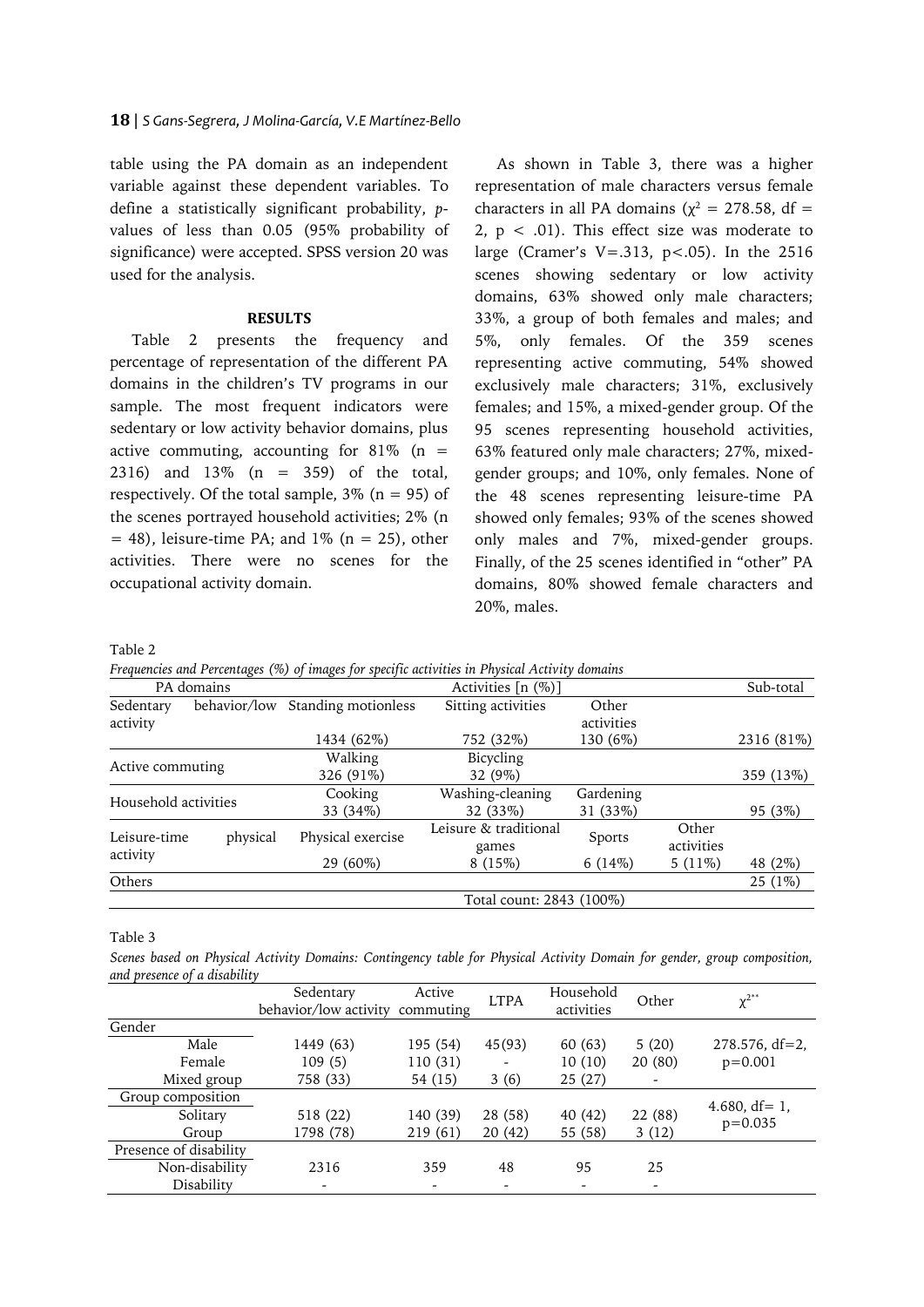table using the PA domain as an independent variable against these dependent variables. To define a statistically significant probability, *p*values of less than 0.05 (95% probability of significance) were accepted. SPSS version 20 was used for the analysis.

# **RESULTS**

Table 2 presents the frequency and percentage of representation of the different PA domains in the children's TV programs in our sample. The most frequent indicators were sedentary or low activity behavior domains, plus active commuting, accounting for  $81\%$  (n = 2316) and 13% (n = 359) of the total, respectively. Of the total sample,  $3\%$  (n = 95) of the scenes portrayed household activities; 2% (n  $= 48$ ), leisure-time PA; and 1% (n = 25), other activities. There were no scenes for the occupational activity domain.

As shown in Table 3, there was a higher representation of male characters versus female characters in all PA domains ( $\chi^2 = 278.58$ , df = 2,  $p < .01$ ). This effect size was moderate to large (Cramer's V=.313, p<.05). In the 2516 scenes showing sedentary or low activity domains, 63% showed only male characters; 33%, a group of both females and males; and 5%, only females. Of the 359 scenes representing active commuting, 54% showed exclusively male characters; 31%, exclusively females; and 15%, a mixed-gender group. Of the 95 scenes representing household activities, 63% featured only male characters; 27%, mixedgender groups; and 10%, only females. None of the 48 scenes representing leisure-time PA showed only females; 93% of the scenes showed only males and 7%, mixed-gender groups. Finally, of the 25 scenes identified in "other" PA domains, 80% showed female characters and 20%, males.

Table 2

*Frequencies and Percentages (%) of images for specific activities in Physical Activity domains*

| PA domains            |              | Activities [n (%)]  |                                |                     |                     | Sub-total  |  |
|-----------------------|--------------|---------------------|--------------------------------|---------------------|---------------------|------------|--|
| Sedentary<br>activity | behavior/low | Standing motionless | Sitting activities             | Other<br>activities |                     |            |  |
|                       |              | 1434 (62%)          | 752 (32%)                      | 130 (6%)            |                     | 2316 (81%) |  |
| Active commuting      |              | Walking             | Bicycling                      |                     |                     |            |  |
|                       |              | 326 (91%)           | 32 (9%)                        |                     |                     | 359 (13%)  |  |
| Household activities  |              | Cooking             | Washing-cleaning               | Gardening           |                     |            |  |
|                       |              | 33 (34%)            | 32 (33%)                       | 31 (33%)            |                     | 95 (3%)    |  |
| Leisure-time          | physical     | Physical exercise   | Leisure & traditional<br>games | Sports              | Other<br>activities |            |  |
| activity              |              | 29 (60%)            | 8(15%)                         | 6(14%)              | 5 $(11\%)$          | 48 (2%)    |  |
| Others                |              |                     |                                |                     |                     | 25 (1%)    |  |
|                       |              |                     | Total count: 2843 (100%)       |                     |                     |            |  |

Table 3

*Scenes based on Physical Activity Domains: Contingency table for Physical Activity Domain for gender, group composition, and presence of a disability*

|                        | Sedentary<br>behavior/low activity | Active<br>commuting | <b>LTPA</b> | Household<br>activities | Other   | $v^{2**}$                        |
|------------------------|------------------------------------|---------------------|-------------|-------------------------|---------|----------------------------------|
| Gender                 |                                    |                     |             |                         |         |                                  |
| Male                   | 1449 (63)                          | 195 (54)            | 45(93)      | 60(63)                  | 5(20)   | $278.576, df=2$                  |
| Female                 | 109(5)                             | 110 (31)            |             | 10(10)                  | 20(80)  | $p=0.001$                        |
| Mixed group            | 758 (33)                           | 54 (15)             | 3(6)        | 25(27)                  |         |                                  |
| Group composition      |                                    |                     |             |                         |         |                                  |
| Solitary               | 518 (22)                           | 140 (39)            | 28 (58)     | 40 (42)                 | 22 (88) | 4.680, $df = 1$ ,<br>$p = 0.035$ |
| Group                  | 1798 (78)                          | 219 (61)            | 20(42)      | 55 (58)                 | 3(12)   |                                  |
| Presence of disability |                                    |                     |             |                         |         |                                  |
| Non-disability         | 2316                               | 359                 | 48          | 95                      | 25      |                                  |
| Disability             |                                    |                     |             |                         |         |                                  |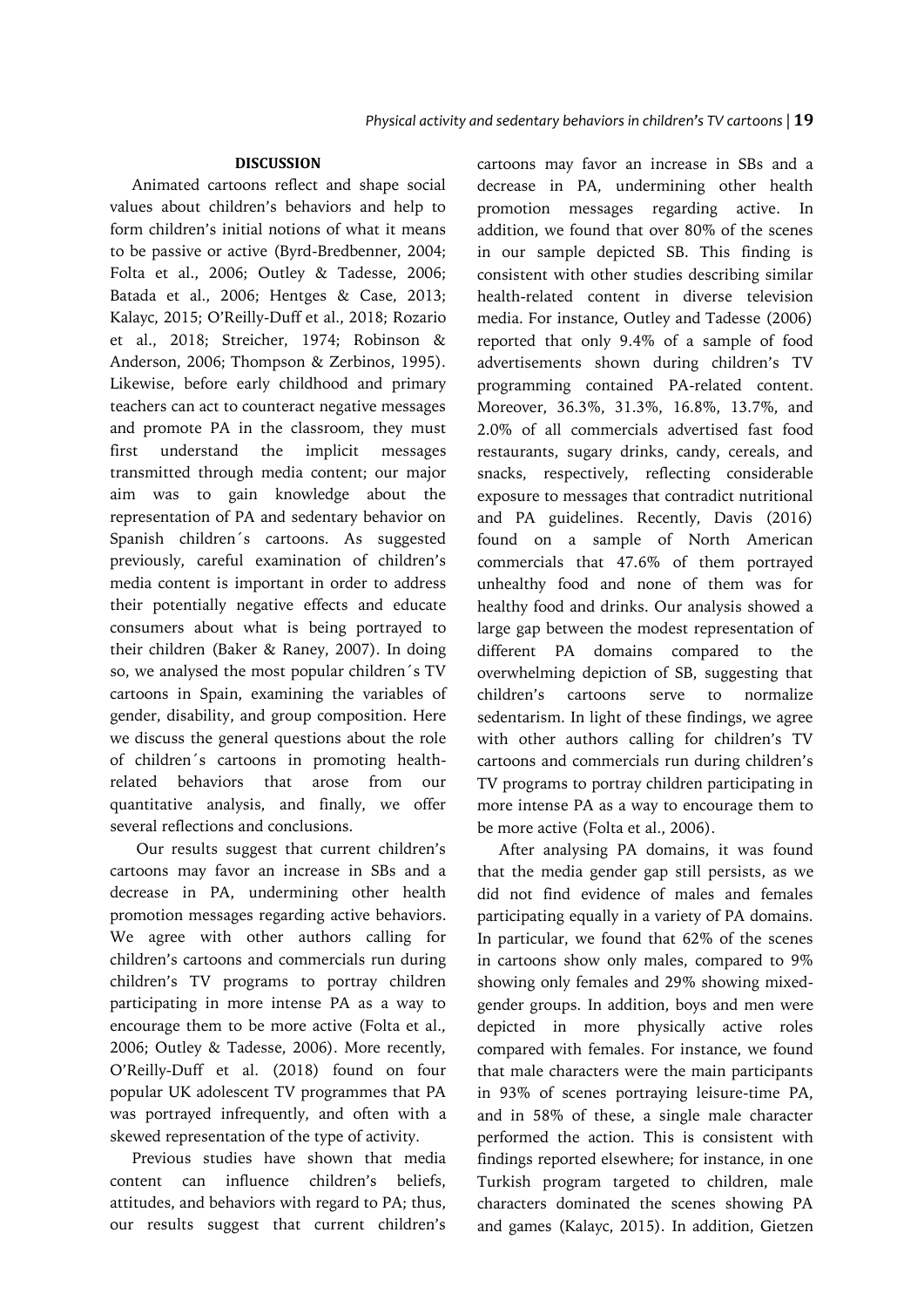# **DISCUSSION**

Animated cartoons reflect and shape social values about children's behaviors and help to form children's initial notions of what it means to be passive or active (Byrd-Bredbenner, 2004; Folta et al., 2006; Outley & Tadesse, 2006; Batada et al., 2006; Hentges & Case, 2013; Kalayc, 2015; O'Reilly-Duff et al., 2018; Rozario et al., 2018; Streicher, 1974; Robinson & Anderson, 2006; Thompson & Zerbinos, 1995). Likewise, before early childhood and primary teachers can act to counteract negative messages and promote PA in the classroom, they must first understand the implicit messages transmitted through media content; our major aim was to gain knowledge about the representation of PA and sedentary behavior on Spanish children´s cartoons. As suggested previously, careful examination of children's media content is important in order to address their potentially negative effects and educate consumers about what is being portrayed to their children (Baker & Raney, 2007). In doing so, we analysed the most popular children´s TV cartoons in Spain, examining the variables of gender, disability, and group composition. Here we discuss the general questions about the role of children´s cartoons in promoting healthrelated behaviors that arose from our quantitative analysis, and finally, we offer several reflections and conclusions.

Our results suggest that current children's cartoons may favor an increase in SBs and a decrease in PA, undermining other health promotion messages regarding active behaviors. We agree with other authors calling for children's cartoons and commercials run during children's TV programs to portray children participating in more intense PA as a way to encourage them to be more active (Folta et al., 2006; Outley & Tadesse, 2006). More recently, O'Reilly-Duff et al. (2018) found on four popular UK adolescent TV programmes that PA was portrayed infrequently, and often with a skewed representation of the type of activity.

Previous studies have shown that media content can influence children's beliefs, attitudes, and behaviors with regard to PA; thus, our results suggest that current children's

cartoons may favor an increase in SBs and a decrease in PA, undermining other health promotion messages regarding active. In addition, we found that over 80% of the scenes in our sample depicted SB. This finding is consistent with other studies describing similar health-related content in diverse television media. For instance, Outley and Tadesse (2006) reported that only 9.4% of a sample of food advertisements shown during children's TV programming contained PA-related content. Moreover, 36.3%, 31.3%, 16.8%, 13.7%, and 2.0% of all commercials advertised fast food restaurants, sugary drinks, candy, cereals, and snacks, respectively, reflecting considerable exposure to messages that contradict nutritional and PA guidelines. Recently, Davis (2016) found on a sample of North American commercials that 47.6% of them portrayed unhealthy food and none of them was for healthy food and drinks. Our analysis showed a large gap between the modest representation of different PA domains compared to the overwhelming depiction of SB, suggesting that children's cartoons serve to normalize sedentarism. In light of these findings, we agree with other authors calling for children's TV cartoons and commercials run during children's TV programs to portray children participating in more intense PA as a way to encourage them to be more active (Folta et al., 2006).

After analysing PA domains, it was found that the media gender gap still persists, as we did not find evidence of males and females participating equally in a variety of PA domains. In particular, we found that 62% of the scenes in cartoons show only males, compared to 9% showing only females and 29% showing mixedgender groups. In addition, boys and men were depicted in more physically active roles compared with females. For instance, we found that male characters were the main participants in 93% of scenes portraying leisure-time PA, and in 58% of these, a single male character performed the action. This is consistent with findings reported elsewhere; for instance, in one Turkish program targeted to children, male characters dominated the scenes showing PA and games (Kalayc, 2015). In addition, Gietzen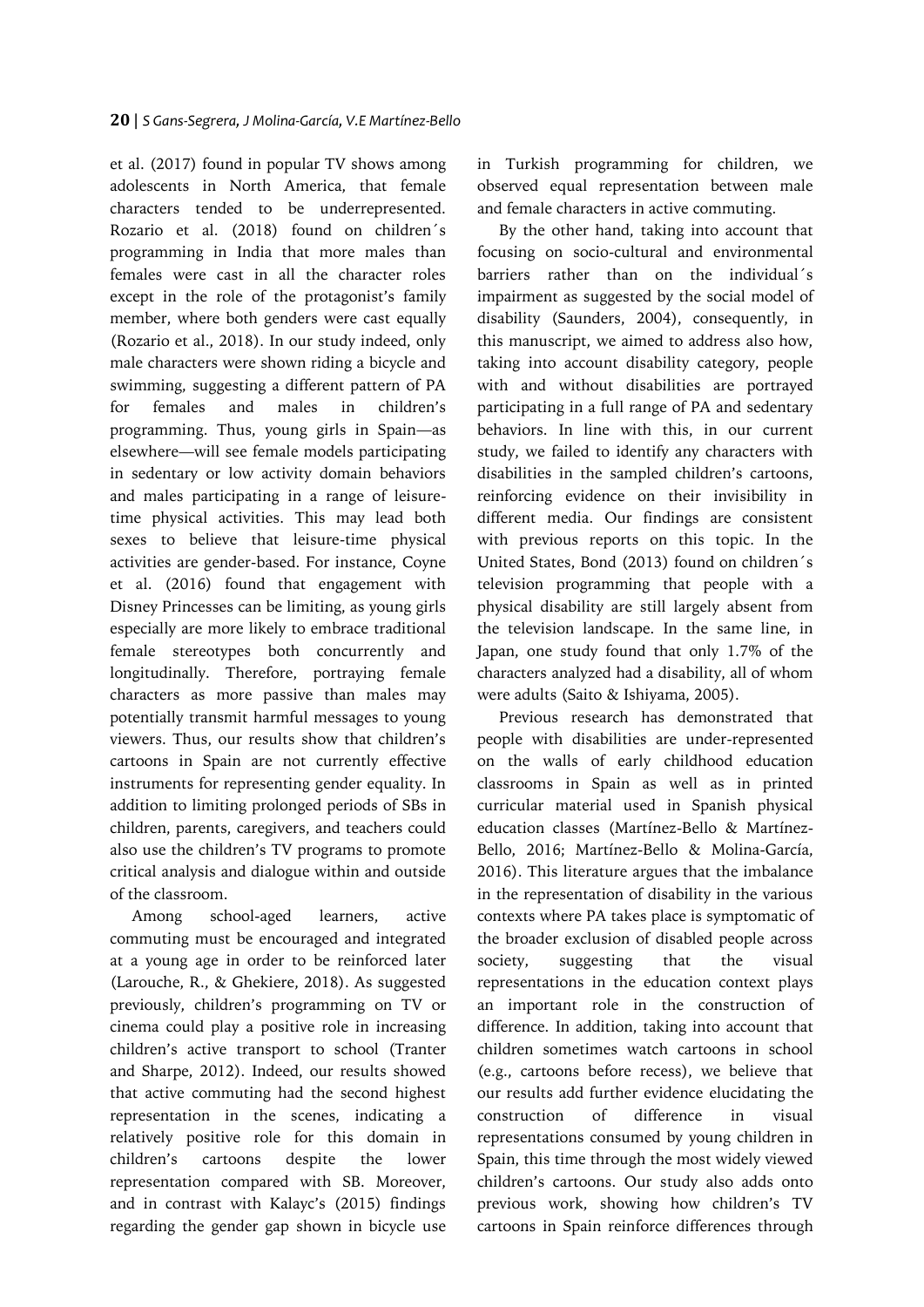et al. (2017) found in popular TV shows among adolescents in North America, that female characters tended to be underrepresented. Rozario et al. (2018) found on children´s programming in India that more males than females were cast in all the character roles except in the role of the protagonist's family member, where both genders were cast equally (Rozario et al., 2018). In our study indeed, only male characters were shown riding a bicycle and swimming, suggesting a different pattern of PA for females and males in children's programming. Thus, young girls in Spain—as elsewhere—will see female models participating in sedentary or low activity domain behaviors and males participating in a range of leisuretime physical activities. This may lead both sexes to believe that leisure-time physical activities are gender-based. For instance, Coyne et al. (2016) found that engagement with Disney Princesses can be limiting, as young girls especially are more likely to embrace traditional female stereotypes both concurrently and longitudinally. Therefore, portraying female characters as more passive than males may potentially transmit harmful messages to young viewers. Thus, our results show that children's cartoons in Spain are not currently effective instruments for representing gender equality. In addition to limiting prolonged periods of SBs in children, parents, caregivers, and teachers could also use the children's TV programs to promote critical analysis and dialogue within and outside of the classroom.

Among school-aged learners, active commuting must be encouraged and integrated at a young age in order to be reinforced later (Larouche, R., & Ghekiere, 2018). As suggested previously, children's programming on TV or cinema could play a positive role in increasing children's active transport to school (Tranter and Sharpe, 2012). Indeed, our results showed that active commuting had the second highest representation in the scenes, indicating a relatively positive role for this domain in children's cartoons despite the lower representation compared with SB. Moreover, and in contrast with Kalayc's (2015) findings regarding the gender gap shown in bicycle use

in Turkish programming for children, we observed equal representation between male and female characters in active commuting.

By the other hand, taking into account that focusing on socio-cultural and environmental barriers rather than on the individual´s impairment as suggested by the social model of disability (Saunders, 2004), consequently, in this manuscript, we aimed to address also how, taking into account disability category, people with and without disabilities are portrayed participating in a full range of PA and sedentary behaviors. In line with this, in our current study, we failed to identify any characters with disabilities in the sampled children's cartoons, reinforcing evidence on their invisibility in different media. Our findings are consistent with previous reports on this topic. In the United States, Bond (2013) found on children´s television programming that people with a physical disability are still largely absent from the television landscape. In the same line, in Japan, one study found that only 1.7% of the characters analyzed had a disability, all of whom were adults (Saito & Ishiyama, 2005).

Previous research has demonstrated that people with disabilities are under-represented on the walls of early childhood education classrooms in Spain as well as in printed curricular material used in Spanish physical education classes (Martínez-Bello & Martínez-Bello, 2016; Martínez-Bello & Molina-García, 2016). This literature argues that the imbalance in the representation of disability in the various contexts where PA takes place is symptomatic of the broader exclusion of disabled people across society, suggesting that the visual representations in the education context plays an important role in the construction of difference. In addition, taking into account that children sometimes watch cartoons in school (e.g., cartoons before recess), we believe that our results add further evidence elucidating the construction of difference in visual representations consumed by young children in Spain, this time through the most widely viewed children's cartoons. Our study also adds onto previous work, showing how children's TV cartoons in Spain reinforce differences through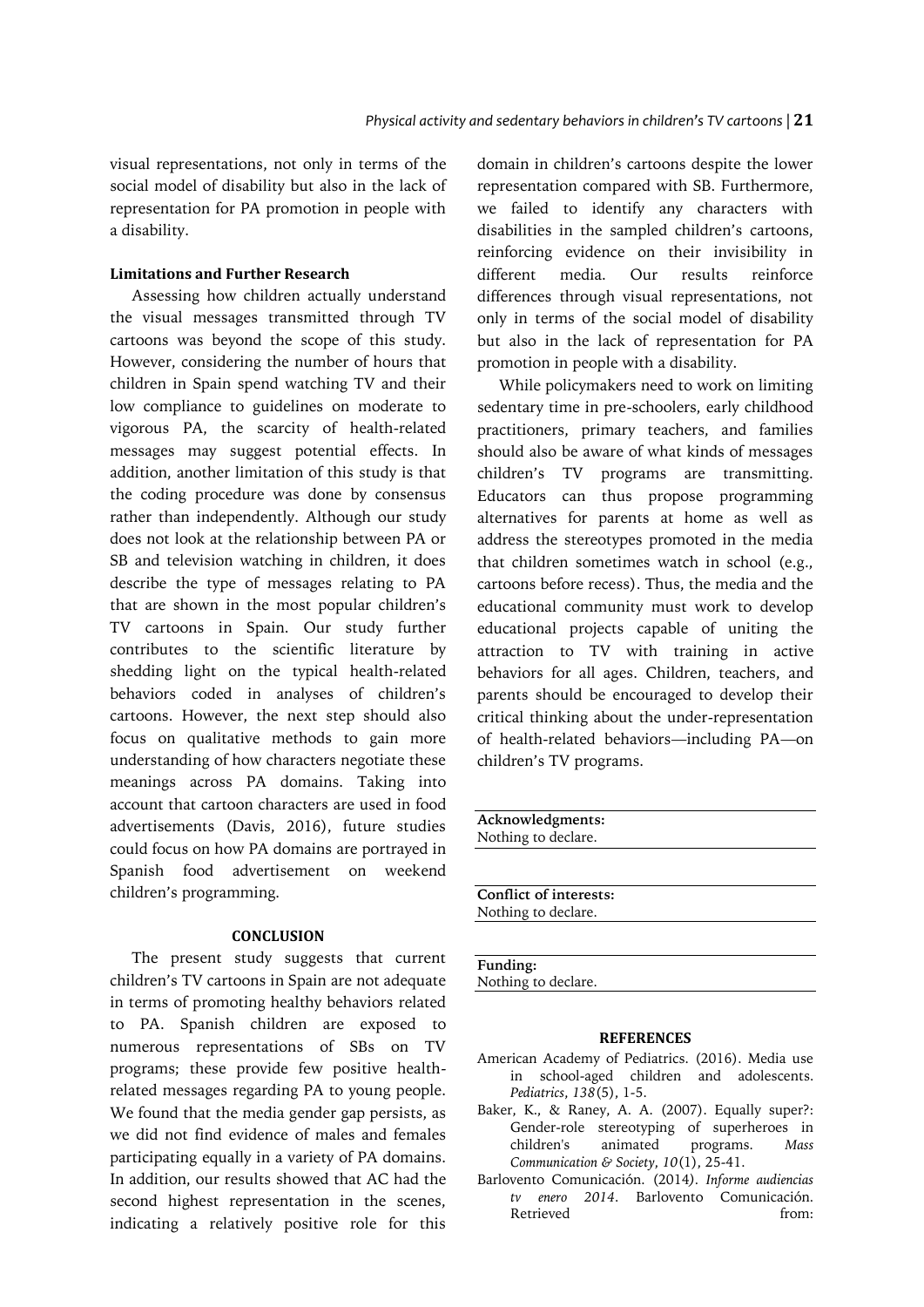visual representations, not only in terms of the social model of disability but also in the lack of representation for PA promotion in people with a disability.

## **Limitations and Further Research**

Assessing how children actually understand the visual messages transmitted through TV cartoons was beyond the scope of this study. However, considering the number of hours that children in Spain spend watching TV and their low compliance to guidelines on moderate to vigorous PA, the scarcity of health-related messages may suggest potential effects. In addition, another limitation of this study is that the coding procedure was done by consensus rather than independently. Although our study does not look at the relationship between PA or SB and television watching in children, it does describe the type of messages relating to PA that are shown in the most popular children's TV cartoons in Spain. Our study further contributes to the scientific literature by shedding light on the typical health-related behaviors coded in analyses of children's cartoons. However, the next step should also focus on qualitative methods to gain more understanding of how characters negotiate these meanings across PA domains. Taking into account that cartoon characters are used in food advertisements (Davis, 2016), future studies could focus on how PA domains are portrayed in Spanish food advertisement on weekend children's programming.

#### **CONCLUSION**

The present study suggests that current children's TV cartoons in Spain are not adequate in terms of promoting healthy behaviors related to PA. Spanish children are exposed to numerous representations of SBs on TV programs; these provide few positive healthrelated messages regarding PA to young people. We found that the media gender gap persists, as we did not find evidence of males and females participating equally in a variety of PA domains. In addition, our results showed that AC had the second highest representation in the scenes, indicating a relatively positive role for this

domain in children's cartoons despite the lower representation compared with SB. Furthermore, we failed to identify any characters with disabilities in the sampled children's cartoons, reinforcing evidence on their invisibility in different media. Our results reinforce differences through visual representations, not only in terms of the social model of disability but also in the lack of representation for PA promotion in people with a disability.

While policymakers need to work on limiting sedentary time in pre-schoolers, early childhood practitioners, primary teachers, and families should also be aware of what kinds of messages children's TV programs are transmitting. Educators can thus propose programming alternatives for parents at home as well as address the stereotypes promoted in the media that children sometimes watch in school (e.g., cartoons before recess). Thus, the media and the educational community must work to develop educational projects capable of uniting the attraction to TV with training in active behaviors for all ages. Children, teachers, and parents should be encouraged to develop their critical thinking about the under-representation of health-related behaviors—including PA—on children's TV programs.

| Acknowledgments:       |  |
|------------------------|--|
| Nothing to declare.    |  |
|                        |  |
|                        |  |
| Conflict of interests: |  |
| Nothing to declare.    |  |
|                        |  |
|                        |  |
| Funding:               |  |

Nothing to declare.

### **REFERENCES**

- American Academy of Pediatrics. (2016). Media use in school-aged children and adolescents. *Pediatrics*, *138*(5), 1-5.
- Baker, K., & Raney, A. A. (2007). Equally super?: Gender-role stereotyping of superheroes in children's animated programs. *Mass Communication & Society*, *10*(1), 25-41.
- Barlovento Comunicación. (2014*). Informe audiencias tv enero 2014*. Barlovento Comunicación. Retrieved from: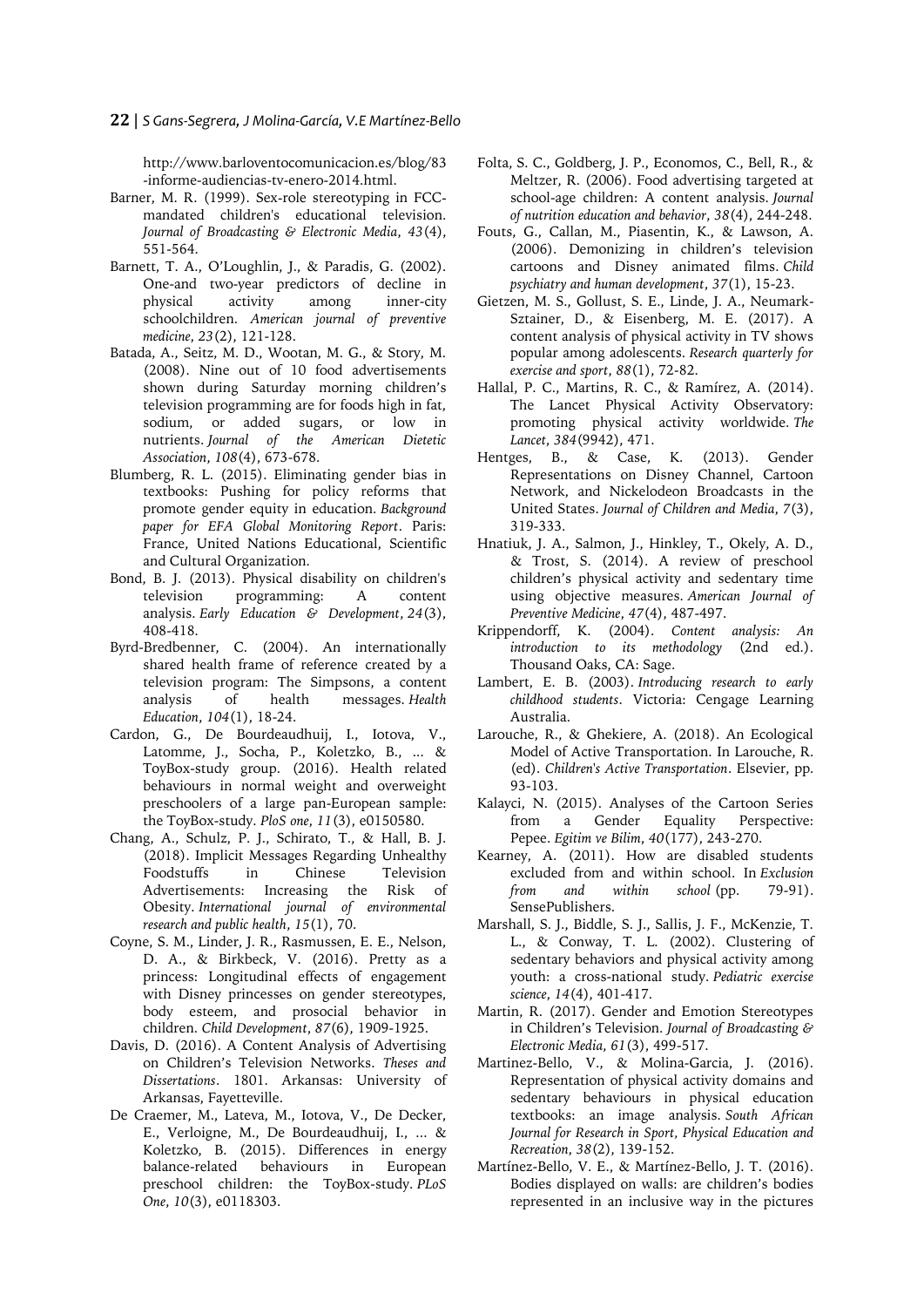#### **22** | *S Gans-Segrera, J Molina-García, V.E Martínez-Bello*

http://www.barloventocomunicacion.es/blog/83 -informe-audiencias-tv-enero-2014.html.

- Barner, M. R. (1999). Sex-role stereotyping in FCCmandated children's educational television. *Journal of Broadcasting & Electronic Media*, *43*(4), 551-564.
- Barnett, T. A., O'Loughlin, J., & Paradis, G. (2002). One-and two-year predictors of decline in physical activity among inner-city schoolchildren. *American journal of preventive medicine*, *23*(2), 121-128.
- Batada, A., Seitz, M. D., Wootan, M. G., & Story, M. (2008). Nine out of 10 food advertisements shown during Saturday morning children's television programming are for foods high in fat, sodium, or added sugars, or low in nutrients. *Journal of the American Dietetic Association*, *108*(4), 673-678.
- Blumberg, R. L. (2015). Eliminating gender bias in textbooks: Pushing for policy reforms that promote gender equity in education. *Background paper for EFA Global Monitoring Report*. Paris: France, United Nations Educational, Scientific and Cultural Organization.
- Bond, B. J. (2013). Physical disability on children's television programming: A content analysis. *Early Education & Development*, *24*(3), 408-418.
- Byrd-Bredbenner, C. (2004). An internationally shared health frame of reference created by a television program: The Simpsons, a content analysis of health messages. *Health Education*, *104*(1), 18-24.
- Cardon, G., De Bourdeaudhuij, I., Iotova, V., Latomme, J., Socha, P., Koletzko, B., ... & ToyBox-study group. (2016). Health related behaviours in normal weight and overweight preschoolers of a large pan-European sample: the ToyBox-study. *PloS one*, *11*(3), e0150580.
- Chang, A., Schulz, P. J., Schirato, T., & Hall, B. J. (2018). Implicit Messages Regarding Unhealthy Foodstuffs in Chinese Television Advertisements: Increasing the Risk of Obesity. *International journal of environmental research and public health*, *15*(1), 70.
- Coyne, S. M., Linder, J. R., Rasmussen, E. E., Nelson, D. A., & Birkbeck, V. (2016). Pretty as a princess: Longitudinal effects of engagement with Disney princesses on gender stereotypes, body esteem, and prosocial behavior in children. *Child Development*, *87*(6), 1909-1925.
- Davis, D. (2016). A Content Analysis of Advertising on Children's Television Networks. *Theses and Dissertations*. 1801. Arkansas: University of Arkansas, Fayetteville.
- De Craemer, M., Lateva, M., Iotova, V., De Decker, E., Verloigne, M., De Bourdeaudhuij, I., ... & Koletzko, B. (2015). Differences in energy balance-related behaviours in European preschool children: the ToyBox-study. *PLoS One*, *10*(3), e0118303.
- Folta, S. C., Goldberg, J. P., Economos, C., Bell, R., & Meltzer, R. (2006). Food advertising targeted at school-age children: A content analysis. *Journal of nutrition education and behavior*, *38*(4), 244-248.
- Fouts, G., Callan, M., Piasentin, K., & Lawson, A. (2006). Demonizing in children's television cartoons and Disney animated films. *Child psychiatry and human development*, *37*(1), 15-23.
- Gietzen, M. S., Gollust, S. E., Linde, J. A., Neumark-Sztainer, D., & Eisenberg, M. E. (2017). A content analysis of physical activity in TV shows popular among adolescents. *Research quarterly for exercise and sport*, *88*(1), 72-82.
- Hallal, P. C., Martins, R. C., & Ramírez, A. (2014). The Lancet Physical Activity Observatory: promoting physical activity worldwide. *The Lancet*, *384*(9942), 471.
- Hentges, B., & Case, K. (2013). Gender Representations on Disney Channel, Cartoon Network, and Nickelodeon Broadcasts in the United States. *Journal of Children and Media*, *7*(3), 319-333.
- Hnatiuk, J. A., Salmon, J., Hinkley, T., Okely, A. D., & Trost, S. (2014). A review of preschool children's physical activity and sedentary time using objective measures. *American Journal of Preventive Medicine*, *47*(4), 487-497.
- Krippendorff, K. (2004). *Content analysis: An introduction to its methodology* (2nd ed.). Thousand Oaks, CA: Sage.
- Lambert, E. B. (2003). *Introducing research to early childhood students*. Victoria: Cengage Learning Australia.
- Larouche, R., & Ghekiere, A. (2018). An Ecological Model of Active Transportation. In Larouche, R. (ed). *Children's Active Transportation*. Elsevier, pp. 93-103.
- Kalayci, N. (2015). Analyses of the Cartoon Series from a Gender Equality Perspective: Pepee. *Egitim ve Bilim*, *40*(177), 243-270.
- Kearney, A. (2011). How are disabled students excluded from and within school. In *Exclusion from and within school* (pp. 79-91). SensePublishers.
- Marshall, S. J., Biddle, S. J., Sallis, J. F., McKenzie, T. L., & Conway, T. L. (2002). Clustering of sedentary behaviors and physical activity among youth: a cross-national study. *Pediatric exercise science*, *14*(4), 401-417.
- Martin, R. (2017). Gender and Emotion Stereotypes in Children's Television. *Journal of Broadcasting & Electronic Media*, *61*(3), 499-517.
- Martinez-Bello, V., & Molina-Garcia, J. (2016). Representation of physical activity domains and sedentary behaviours in physical education textbooks: an image analysis. *South African Journal for Research in Sport, Physical Education and Recreation*, *38*(2), 139-152.
- Martínez-Bello, V. E., & Martínez-Bello, J. T. (2016). Bodies displayed on walls: are children's bodies represented in an inclusive way in the pictures